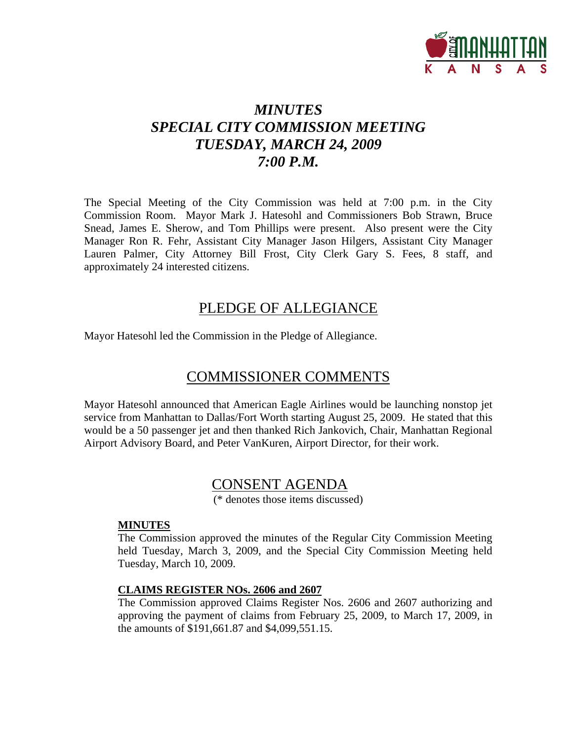

## *MINUTES SPECIAL CITY COMMISSION MEETING TUESDAY, MARCH 24, 2009 7:00 P.M.*

The Special Meeting of the City Commission was held at 7:00 p.m. in the City Commission Room. Mayor Mark J. Hatesohl and Commissioners Bob Strawn, Bruce Snead, James E. Sherow, and Tom Phillips were present. Also present were the City Manager Ron R. Fehr, Assistant City Manager Jason Hilgers, Assistant City Manager Lauren Palmer, City Attorney Bill Frost, City Clerk Gary S. Fees, 8 staff, and approximately 24 interested citizens.

## PLEDGE OF ALLEGIANCE

Mayor Hatesohl led the Commission in the Pledge of Allegiance.

## COMMISSIONER COMMENTS

Mayor Hatesohl announced that American Eagle Airlines would be launching nonstop jet service from Manhattan to Dallas/Fort Worth starting August 25, 2009. He stated that this would be a 50 passenger jet and then thanked Rich Jankovich, Chair, Manhattan Regional Airport Advisory Board, and Peter VanKuren, Airport Director, for their work.

## CONSENT AGENDA

(\* denotes those items discussed)

#### **MINUTES**

The Commission approved the minutes of the Regular City Commission Meeting held Tuesday, March 3, 2009, and the Special City Commission Meeting held Tuesday, March 10, 2009.

#### **CLAIMS REGISTER NOs. 2606 and 2607**

The Commission approved Claims Register Nos. 2606 and 2607 authorizing and approving the payment of claims from February 25, 2009, to March 17, 2009, in the amounts of \$191,661.87 and \$4,099,551.15.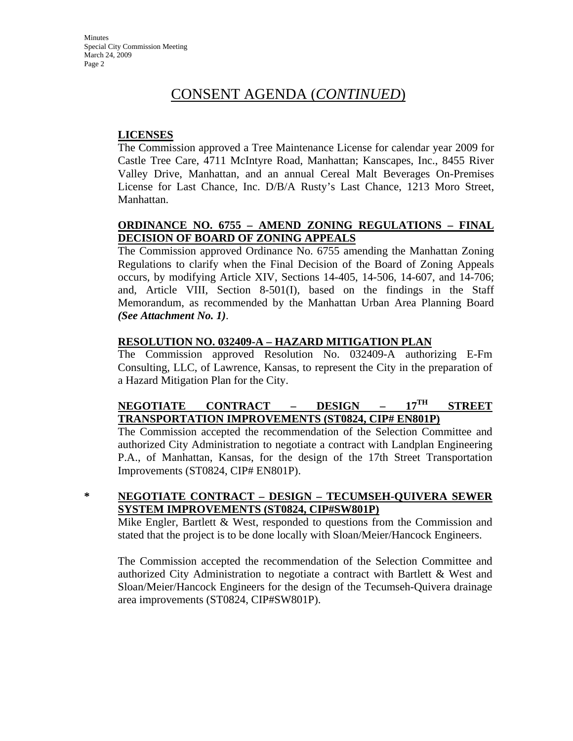#### **LICENSES**

The Commission approved a Tree Maintenance License for calendar year 2009 for Castle Tree Care, 4711 McIntyre Road, Manhattan; Kanscapes, Inc., 8455 River Valley Drive, Manhattan, and an annual Cereal Malt Beverages On-Premises License for Last Chance, Inc. D/B/A Rusty's Last Chance, 1213 Moro Street, Manhattan.

### **ORDINANCE NO. 6755 – AMEND ZONING REGULATIONS – FINAL DECISION OF BOARD OF ZONING APPEALS**

The Commission approved Ordinance No. 6755 amending the Manhattan Zoning Regulations to clarify when the Final Decision of the Board of Zoning Appeals occurs, by modifying Article XIV, Sections 14-405, 14-506, 14-607, and 14-706; and, Article VIII, Section 8-501(I), based on the findings in the Staff Memorandum, as recommended by the Manhattan Urban Area Planning Board *(See Attachment No. 1)*.

#### **RESOLUTION NO. 032409-A – HAZARD MITIGATION PLAN**

The Commission approved Resolution No. 032409-A authorizing E-Fm Consulting, LLC, of Lawrence, Kansas, to represent the City in the preparation of a Hazard Mitigation Plan for the City.

#### **NEGOTIATE CONTRACT – DESIGN – 17TH STREET TRANSPORTATION IMPROVEMENTS (ST0824, CIP# EN801P)**

The Commission accepted the recommendation of the Selection Committee and authorized City Administration to negotiate a contract with Landplan Engineering P.A., of Manhattan, Kansas, for the design of the 17th Street Transportation Improvements (ST0824, CIP# EN801P).

#### **\* NEGOTIATE CONTRACT – DESIGN – TECUMSEH-QUIVERA SEWER SYSTEM IMPROVEMENTS (ST0824, CIP#SW801P)**

Mike Engler, Bartlett & West, responded to questions from the Commission and stated that the project is to be done locally with Sloan/Meier/Hancock Engineers.

The Commission accepted the recommendation of the Selection Committee and authorized City Administration to negotiate a contract with Bartlett & West and Sloan/Meier/Hancock Engineers for the design of the Tecumseh-Quivera drainage area improvements (ST0824, CIP#SW801P).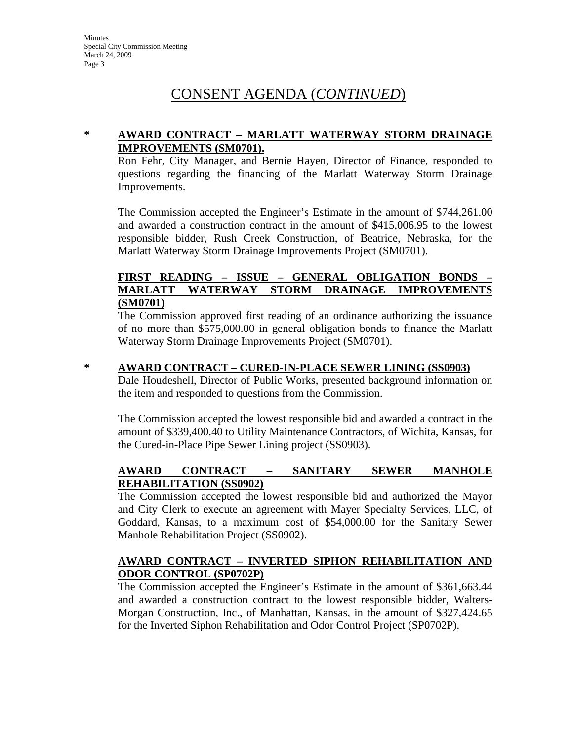#### **\* AWARD CONTRACT – MARLATT WATERWAY STORM DRAINAGE IMPROVEMENTS (SM0701).**

Ron Fehr, City Manager, and Bernie Hayen, Director of Finance, responded to questions regarding the financing of the Marlatt Waterway Storm Drainage Improvements.

The Commission accepted the Engineer's Estimate in the amount of \$744,261.00 and awarded a construction contract in the amount of \$415,006.95 to the lowest responsible bidder, Rush Creek Construction, of Beatrice, Nebraska, for the Marlatt Waterway Storm Drainage Improvements Project (SM0701).

#### **FIRST READING – ISSUE – GENERAL OBLIGATION BONDS – MARLATT WATERWAY STORM DRAINAGE IMPROVEMENTS (SM0701)**

The Commission approved first reading of an ordinance authorizing the issuance of no more than \$575,000.00 in general obligation bonds to finance the Marlatt Waterway Storm Drainage Improvements Project (SM0701).

#### **\* AWARD CONTRACT – CURED-IN-PLACE SEWER LINING (SS0903)**

Dale Houdeshell, Director of Public Works, presented background information on the item and responded to questions from the Commission.

The Commission accepted the lowest responsible bid and awarded a contract in the amount of \$339,400.40 to Utility Maintenance Contractors, of Wichita, Kansas, for the Cured-in-Place Pipe Sewer Lining project (SS0903).

#### **AWARD CONTRACT – SANITARY SEWER MANHOLE REHABILITATION (SS0902)**

The Commission accepted the lowest responsible bid and authorized the Mayor and City Clerk to execute an agreement with Mayer Specialty Services, LLC, of Goddard, Kansas, to a maximum cost of \$54,000.00 for the Sanitary Sewer Manhole Rehabilitation Project (SS0902).

#### **AWARD CONTRACT – INVERTED SIPHON REHABILITATION AND ODOR CONTROL (SP0702P)**

The Commission accepted the Engineer's Estimate in the amount of \$361,663.44 and awarded a construction contract to the lowest responsible bidder, Walters-Morgan Construction, Inc., of Manhattan, Kansas, in the amount of \$327,424.65 for the Inverted Siphon Rehabilitation and Odor Control Project (SP0702P).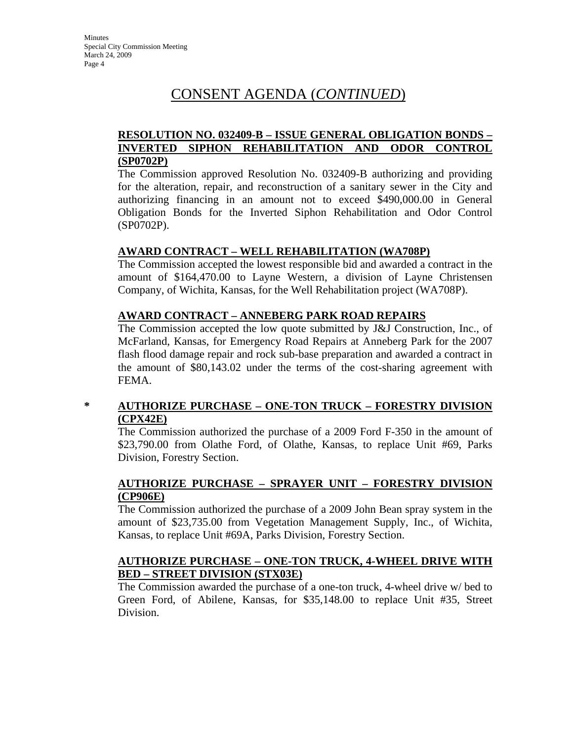#### **RESOLUTION NO. 032409-B – ISSUE GENERAL OBLIGATION BONDS – INVERTED SIPHON REHABILITATION AND ODOR CONTROL (SP0702P)**

The Commission approved Resolution No. 032409-B authorizing and providing for the alteration, repair, and reconstruction of a sanitary sewer in the City and authorizing financing in an amount not to exceed \$490,000.00 in General Obligation Bonds for the Inverted Siphon Rehabilitation and Odor Control (SP0702P).

#### **AWARD CONTRACT – WELL REHABILITATION (WA708P)**

The Commission accepted the lowest responsible bid and awarded a contract in the amount of \$164,470.00 to Layne Western, a division of Layne Christensen Company, of Wichita, Kansas, for the Well Rehabilitation project (WA708P).

#### **AWARD CONTRACT – ANNEBERG PARK ROAD REPAIRS**

The Commission accepted the low quote submitted by J&J Construction, Inc., of McFarland, Kansas, for Emergency Road Repairs at Anneberg Park for the 2007 flash flood damage repair and rock sub-base preparation and awarded a contract in the amount of \$80,143.02 under the terms of the cost-sharing agreement with FEMA.

#### **\* AUTHORIZE PURCHASE – ONE-TON TRUCK – FORESTRY DIVISION (CPX42E)**

The Commission authorized the purchase of a 2009 Ford F-350 in the amount of \$23,790.00 from Olathe Ford, of Olathe, Kansas, to replace Unit #69, Parks Division, Forestry Section.

#### **AUTHORIZE PURCHASE – SPRAYER UNIT – FORESTRY DIVISION (CP906E)**

The Commission authorized the purchase of a 2009 John Bean spray system in the amount of \$23,735.00 from Vegetation Management Supply, Inc., of Wichita, Kansas, to replace Unit #69A, Parks Division, Forestry Section.

#### **AUTHORIZE PURCHASE – ONE-TON TRUCK, 4-WHEEL DRIVE WITH BED – STREET DIVISION (STX03E)**

The Commission awarded the purchase of a one-ton truck, 4-wheel drive w/ bed to Green Ford, of Abilene, Kansas, for \$35,148.00 to replace Unit #35, Street Division.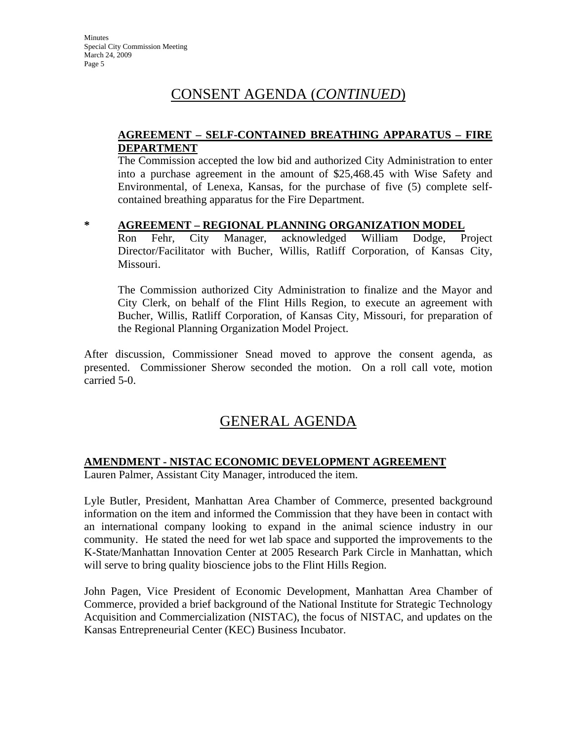#### **AGREEMENT – SELF-CONTAINED BREATHING APPARATUS – FIRE DEPARTMENT**

The Commission accepted the low bid and authorized City Administration to enter into a purchase agreement in the amount of \$25,468.45 with Wise Safety and Environmental, of Lenexa, Kansas, for the purchase of five (5) complete selfcontained breathing apparatus for the Fire Department.

#### **\* AGREEMENT – REGIONAL PLANNING ORGANIZATION MODEL**

Ron Fehr, City Manager, acknowledged William Dodge, Project Director/Facilitator with Bucher, Willis, Ratliff Corporation, of Kansas City, Missouri.

The Commission authorized City Administration to finalize and the Mayor and City Clerk, on behalf of the Flint Hills Region, to execute an agreement with Bucher, Willis, Ratliff Corporation, of Kansas City, Missouri, for preparation of the Regional Planning Organization Model Project.

After discussion, Commissioner Snead moved to approve the consent agenda, as presented. Commissioner Sherow seconded the motion. On a roll call vote, motion carried 5-0.

## GENERAL AGENDA

#### **AMENDMENT - NISTAC ECONOMIC DEVELOPMENT AGREEMENT**

Lauren Palmer, Assistant City Manager, introduced the item.

Lyle Butler, President, Manhattan Area Chamber of Commerce, presented background information on the item and informed the Commission that they have been in contact with an international company looking to expand in the animal science industry in our community. He stated the need for wet lab space and supported the improvements to the K-State/Manhattan Innovation Center at 2005 Research Park Circle in Manhattan, which will serve to bring quality bioscience jobs to the Flint Hills Region.

John Pagen, Vice President of Economic Development, Manhattan Area Chamber of Commerce, provided a brief background of the National Institute for Strategic Technology Acquisition and Commercialization (NISTAC), the focus of NISTAC, and updates on the Kansas Entrepreneurial Center (KEC) Business Incubator.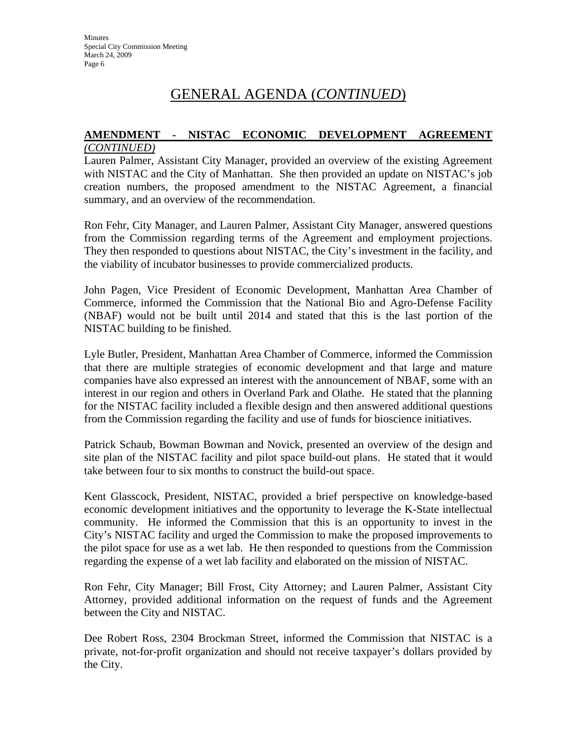## GENERAL AGENDA (*CONTINUED*)

#### **AMENDMENT - NISTAC ECONOMIC DEVELOPMENT AGREEMENT** *(CONTINUED)*

Lauren Palmer, Assistant City Manager, provided an overview of the existing Agreement with NISTAC and the City of Manhattan. She then provided an update on NISTAC's job creation numbers, the proposed amendment to the NISTAC Agreement, a financial summary, and an overview of the recommendation.

Ron Fehr, City Manager, and Lauren Palmer, Assistant City Manager, answered questions from the Commission regarding terms of the Agreement and employment projections. They then responded to questions about NISTAC, the City's investment in the facility, and the viability of incubator businesses to provide commercialized products.

John Pagen, Vice President of Economic Development, Manhattan Area Chamber of Commerce, informed the Commission that the National Bio and Agro-Defense Facility (NBAF) would not be built until 2014 and stated that this is the last portion of the NISTAC building to be finished.

Lyle Butler, President, Manhattan Area Chamber of Commerce, informed the Commission that there are multiple strategies of economic development and that large and mature companies have also expressed an interest with the announcement of NBAF, some with an interest in our region and others in Overland Park and Olathe. He stated that the planning for the NISTAC facility included a flexible design and then answered additional questions from the Commission regarding the facility and use of funds for bioscience initiatives.

Patrick Schaub, Bowman Bowman and Novick, presented an overview of the design and site plan of the NISTAC facility and pilot space build-out plans. He stated that it would take between four to six months to construct the build-out space.

Kent Glasscock, President, NISTAC, provided a brief perspective on knowledge-based economic development initiatives and the opportunity to leverage the K-State intellectual community. He informed the Commission that this is an opportunity to invest in the City's NISTAC facility and urged the Commission to make the proposed improvements to the pilot space for use as a wet lab. He then responded to questions from the Commission regarding the expense of a wet lab facility and elaborated on the mission of NISTAC.

Ron Fehr, City Manager; Bill Frost, City Attorney; and Lauren Palmer, Assistant City Attorney, provided additional information on the request of funds and the Agreement between the City and NISTAC.

Dee Robert Ross, 2304 Brockman Street, informed the Commission that NISTAC is a private, not-for-profit organization and should not receive taxpayer's dollars provided by the City.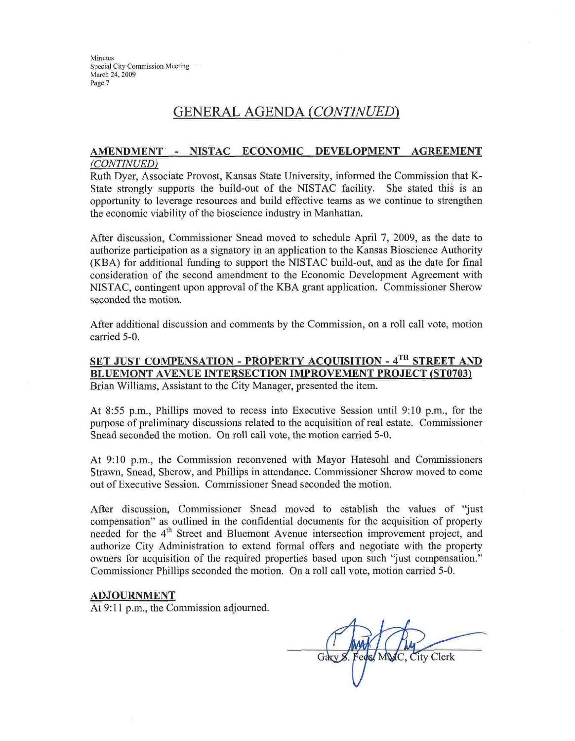Minutes Special City Commission Meeting March 24, 2009 Page 7

## **GENERAL AGENDA (CONTINUED)**

#### AMENDMENT - NISTAC ECONOMIC DEVELOPMENT **AGREEMENT** (CONTINUED)

Ruth Dyer, Associate Provost, Kansas State University, informed the Commission that K-State strongly supports the build-out of the NISTAC facility. She stated this is an opportunity to leverage resources and build effective teams as we continue to strengthen the economic viability of the bioscience industry in Manhattan.

After discussion, Commissioner Snead moved to schedule April 7, 2009, as the date to authorize participation as a signatory in an application to the Kansas Bioscience Authority (KBA) for additional funding to support the NISTAC build-out, and as the date for final consideration of the second amendment to the Economic Development Agreement with NISTAC, contingent upon approval of the KBA grant application. Commissioner Sherow seconded the motion.

After additional discussion and comments by the Commission, on a roll call vote, motion carried 5-0.

SET JUST COMPENSATION - PROPERTY ACOUISITION - 4TH STREET AND **BLUEMONT AVENUE INTERSECTION IMPROVEMENT PROJECT (ST0703)** Brian Williams, Assistant to the City Manager, presented the item.

At 8:55 p.m., Phillips moved to recess into Executive Session until 9:10 p.m., for the purpose of preliminary discussions related to the acquisition of real estate. Commissioner Snead seconded the motion. On roll call vote, the motion carried 5-0.

At 9:10 p.m., the Commission reconvened with Mayor Hatesohl and Commissioners Strawn, Snead, Sherow, and Phillips in attendance. Commissioner Sherow moved to come out of Executive Session. Commissioner Snead seconded the motion.

After discussion, Commissioner Snead moved to establish the values of "just compensation" as outlined in the confidential documents for the acquisition of property needed for the 4<sup>th</sup> Street and Bluemont Avenue intersection improvement project, and authorize City Administration to extend formal offers and negotiate with the property owners for acquisition of the required properties based upon such "just compensation." Commissioner Phillips seconded the motion. On a roll call vote, motion carried 5-0.

#### **ADJOURNMENT**

At 9:11 p.m., the Commission adjourned.

City Clerk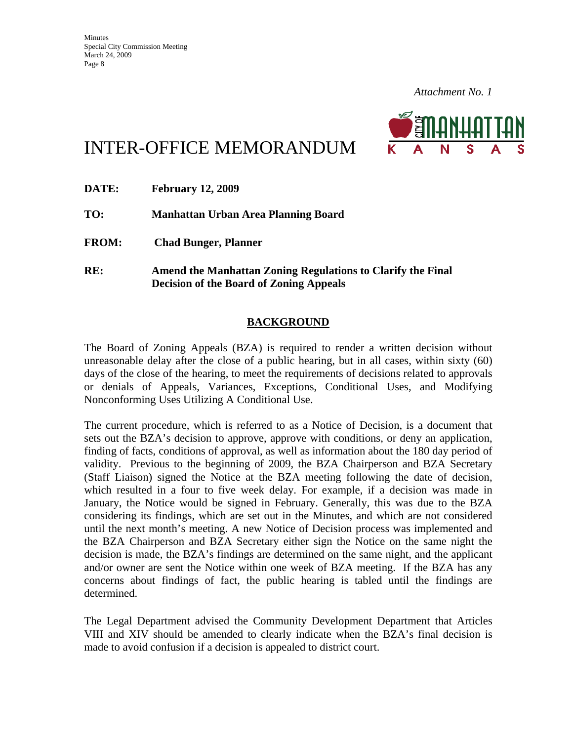*Attachment No. 1*



# INTER-OFFICE MEMORANDUM

| <b>DATE:</b> | <b>February 12, 2009</b>                                                                                      |
|--------------|---------------------------------------------------------------------------------------------------------------|
| TO:          | Manhattan Urban Area Planning Board                                                                           |
| <b>FROM:</b> | <b>Chad Bunger, Planner</b>                                                                                   |
| RE:          | Amend the Manhattan Zoning Regulations to Clarify the Final<br><b>Decision of the Board of Zoning Appeals</b> |

### **BACKGROUND**

The Board of Zoning Appeals (BZA) is required to render a written decision without unreasonable delay after the close of a public hearing, but in all cases, within sixty (60) days of the close of the hearing, to meet the requirements of decisions related to approvals or denials of Appeals, Variances, Exceptions, Conditional Uses, and Modifying Nonconforming Uses Utilizing A Conditional Use.

The current procedure, which is referred to as a Notice of Decision, is a document that sets out the BZA's decision to approve, approve with conditions, or deny an application, finding of facts, conditions of approval, as well as information about the 180 day period of validity. Previous to the beginning of 2009, the BZA Chairperson and BZA Secretary (Staff Liaison) signed the Notice at the BZA meeting following the date of decision, which resulted in a four to five week delay. For example, if a decision was made in January, the Notice would be signed in February. Generally, this was due to the BZA considering its findings, which are set out in the Minutes, and which are not considered until the next month's meeting. A new Notice of Decision process was implemented and the BZA Chairperson and BZA Secretary either sign the Notice on the same night the decision is made, the BZA's findings are determined on the same night, and the applicant and/or owner are sent the Notice within one week of BZA meeting. If the BZA has any concerns about findings of fact, the public hearing is tabled until the findings are determined.

The Legal Department advised the Community Development Department that Articles VIII and XIV should be amended to clearly indicate when the BZA's final decision is made to avoid confusion if a decision is appealed to district court.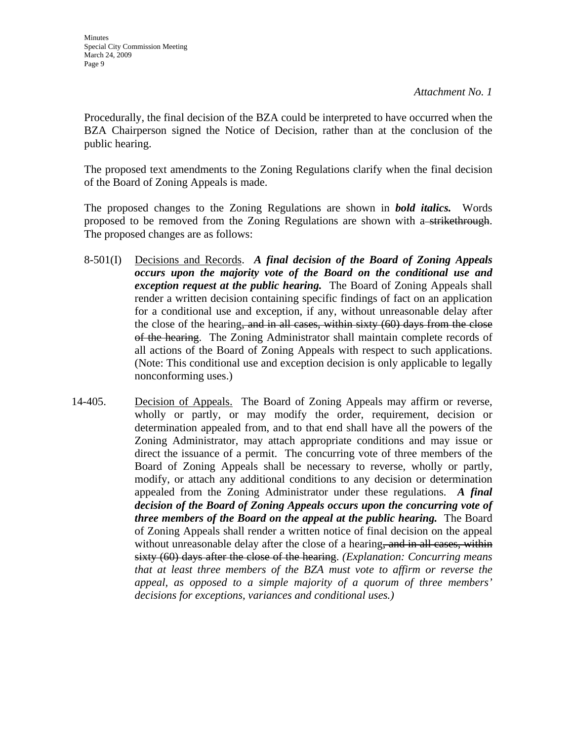Procedurally, the final decision of the BZA could be interpreted to have occurred when the BZA Chairperson signed the Notice of Decision, rather than at the conclusion of the public hearing.

The proposed text amendments to the Zoning Regulations clarify when the final decision of the Board of Zoning Appeals is made.

The proposed changes to the Zoning Regulations are shown in *bold italics.* Words proposed to be removed from the Zoning Regulations are shown with a strikethrough. The proposed changes are as follows:

- 8-501(I) Decisions and Records. *A final decision of the Board of Zoning Appeals occurs upon the majority vote of the Board on the conditional use and exception request at the public hearing.* The Board of Zoning Appeals shall render a written decision containing specific findings of fact on an application for a conditional use and exception, if any, without unreasonable delay after the close of the hearing, and in all cases, within sixty (60) days from the close of the hearing. The Zoning Administrator shall maintain complete records of all actions of the Board of Zoning Appeals with respect to such applications. (Note: This conditional use and exception decision is only applicable to legally nonconforming uses.)
- 14-405. Decision of Appeals. The Board of Zoning Appeals may affirm or reverse, wholly or partly, or may modify the order, requirement, decision or determination appealed from, and to that end shall have all the powers of the Zoning Administrator, may attach appropriate conditions and may issue or direct the issuance of a permit. The concurring vote of three members of the Board of Zoning Appeals shall be necessary to reverse, wholly or partly, modify, or attach any additional conditions to any decision or determination appealed from the Zoning Administrator under these regulations. *A final decision of the Board of Zoning Appeals occurs upon the concurring vote of three members of the Board on the appeal at the public hearing.* The Board of Zoning Appeals shall render a written notice of final decision on the appeal without unreasonable delay after the close of a hearing, and in all cases, within sixty (60) days after the close of the hearing. *(Explanation: Concurring means that at least three members of the BZA must vote to affirm or reverse the appeal, as opposed to a simple majority of a quorum of three members' decisions for exceptions, variances and conditional uses.)*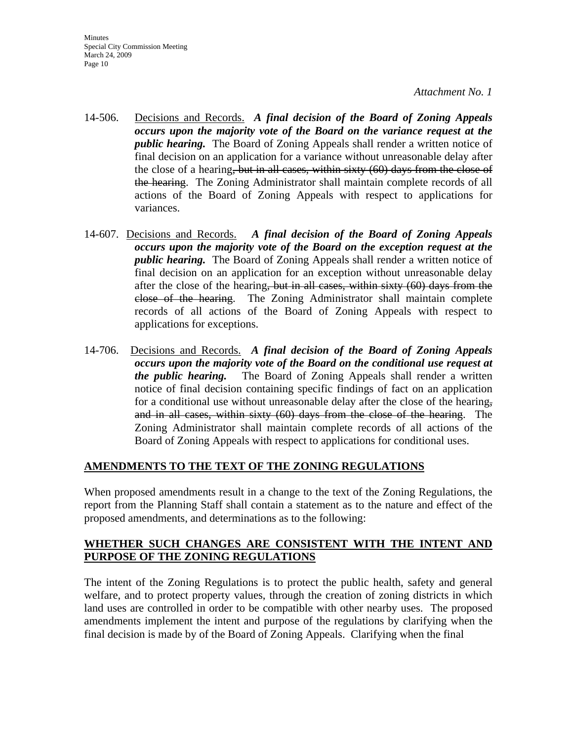**Minutes** Special City Commission Meeting March 24, 2009 Page 10

*Attachment No. 1*

- 14-506. Decisions and Records. *A final decision of the Board of Zoning Appeals occurs upon the majority vote of the Board on the variance request at the public hearing.* The Board of Zoning Appeals shall render a written notice of final decision on an application for a variance without unreasonable delay after the close of a hearing, but in all cases, within sixty (60) days from the close of the hearing. The Zoning Administrator shall maintain complete records of all actions of the Board of Zoning Appeals with respect to applications for variances.
- 14-607. Decisions and Records. *A final decision of the Board of Zoning Appeals occurs upon the majority vote of the Board on the exception request at the public hearing.* The Board of Zoning Appeals shall render a written notice of final decision on an application for an exception without unreasonable delay after the close of the hearing, but in all cases, within sixty (60) days from the close of the hearing. The Zoning Administrator shall maintain complete records of all actions of the Board of Zoning Appeals with respect to applications for exceptions.
- 14-706. Decisions and Records. *A final decision of the Board of Zoning Appeals occurs upon the majority vote of the Board on the conditional use request at the public hearing.* The Board of Zoning Appeals shall render a written notice of final decision containing specific findings of fact on an application for a conditional use without unreasonable delay after the close of the hearing, and in all cases, within sixty (60) days from the close of the hearing. The Zoning Administrator shall maintain complete records of all actions of the Board of Zoning Appeals with respect to applications for conditional uses.

#### **AMENDMENTS TO THE TEXT OF THE ZONING REGULATIONS**

When proposed amendments result in a change to the text of the Zoning Regulations, the report from the Planning Staff shall contain a statement as to the nature and effect of the proposed amendments, and determinations as to the following:

#### **WHETHER SUCH CHANGES ARE CONSISTENT WITH THE INTENT AND PURPOSE OF THE ZONING REGULATIONS**

The intent of the Zoning Regulations is to protect the public health, safety and general welfare, and to protect property values, through the creation of zoning districts in which land uses are controlled in order to be compatible with other nearby uses. The proposed amendments implement the intent and purpose of the regulations by clarifying when the final decision is made by of the Board of Zoning Appeals. Clarifying when the final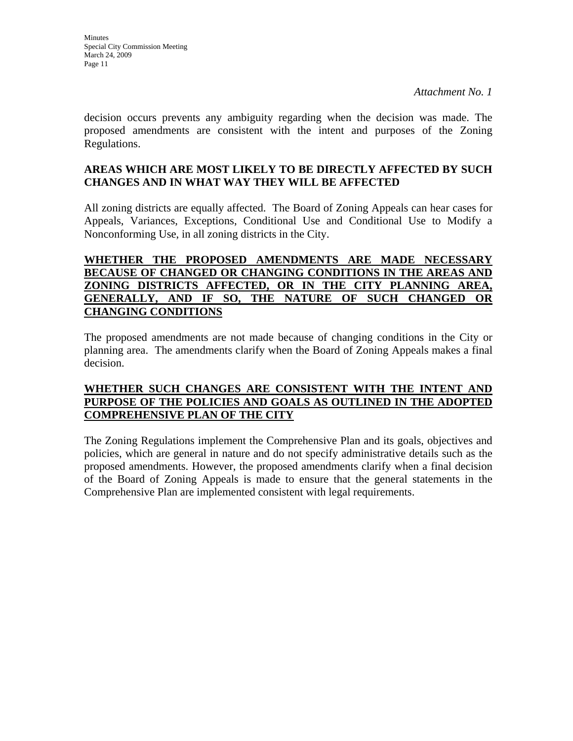*Attachment No. 1*

decision occurs prevents any ambiguity regarding when the decision was made. The proposed amendments are consistent with the intent and purposes of the Zoning Regulations.

#### **AREAS WHICH ARE MOST LIKELY TO BE DIRECTLY AFFECTED BY SUCH CHANGES AND IN WHAT WAY THEY WILL BE AFFECTED**

All zoning districts are equally affected. The Board of Zoning Appeals can hear cases for Appeals, Variances, Exceptions, Conditional Use and Conditional Use to Modify a Nonconforming Use, in all zoning districts in the City.

#### **WHETHER THE PROPOSED AMENDMENTS ARE MADE NECESSARY BECAUSE OF CHANGED OR CHANGING CONDITIONS IN THE AREAS AND ZONING DISTRICTS AFFECTED, OR IN THE CITY PLANNING AREA, GENERALLY, AND IF SO, THE NATURE OF SUCH CHANGED OR CHANGING CONDITIONS**

The proposed amendments are not made because of changing conditions in the City or planning area. The amendments clarify when the Board of Zoning Appeals makes a final decision.

#### **WHETHER SUCH CHANGES ARE CONSISTENT WITH THE INTENT AND PURPOSE OF THE POLICIES AND GOALS AS OUTLINED IN THE ADOPTED COMPREHENSIVE PLAN OF THE CITY**

The Zoning Regulations implement the Comprehensive Plan and its goals, objectives and policies, which are general in nature and do not specify administrative details such as the proposed amendments. However, the proposed amendments clarify when a final decision of the Board of Zoning Appeals is made to ensure that the general statements in the Comprehensive Plan are implemented consistent with legal requirements.